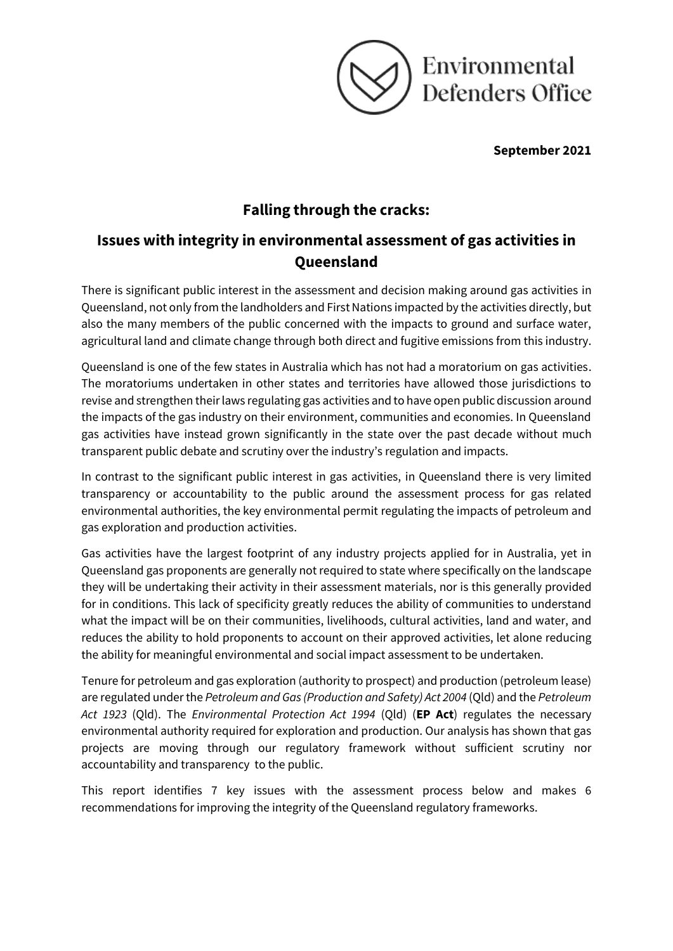

**September 2021** 

# **Falling through the cracks:**

# **Issues with integrity in environmental assessment of gas activities in Queensland**

There is significant public interest in the assessment and decision making around gas activities in Queensland, not only from the landholders and First Nations impacted by the activities directly, but also the many members of the public concerned with the impacts to ground and surface water, agricultural land and climate change through both direct and fugitive emissions from this industry.

Queensland is one of the few states in Australia which has not had a moratorium on gas activities. The moratoriums undertaken in other states and territories have allowed those jurisdictions to revise and strengthen their laws regulating gas activities and to have open public discussion around the impacts of the gas industry on their environment, communities and economies. In Queensland gas activities have instead grown significantly in the state over the past decade without much transparent public debate and scrutiny over the industry's regulation and impacts.

In contrast to the significant public interest in gas activities, in Queensland there is very limited transparency or accountability to the public around the assessment process for gas related environmental authorities, the key environmental permit regulating the impacts of petroleum and gas exploration and production activities.

Gas activities have the largest footprint of any industry projects applied for in Australia, yet in Queensland gas proponents are generally not required to state where specifically on the landscape they will be undertaking their activity in their assessment materials, nor is this generally provided for in conditions. This lack of specificity greatly reduces the ability of communities to understand what the impact will be on their communities, livelihoods, cultural activities, land and water, and reduces the ability to hold proponents to account on their approved activities, let alone reducing the ability for meaningful environmental and social impact assessment to be undertaken.

Tenure for petroleum and gas exploration (authority to prospect) and production (petroleum lease) are regulated under the *Petroleum and Gas (Production and Safety) Act 2004* (Qld) and the *Petroleum Act 1923* (Qld). The *Environmental Protection Act 1994* (Qld) (**EP Act**) regulates the necessary environmental authority required for exploration and production. Our analysis has shown that gas projects are moving through our regulatory framework without sufficient scrutiny nor accountability and transparency to the public.

This report identifies 7 key issues with the assessment process below and makes 6 recommendations for improving the integrity of the Queensland regulatory frameworks.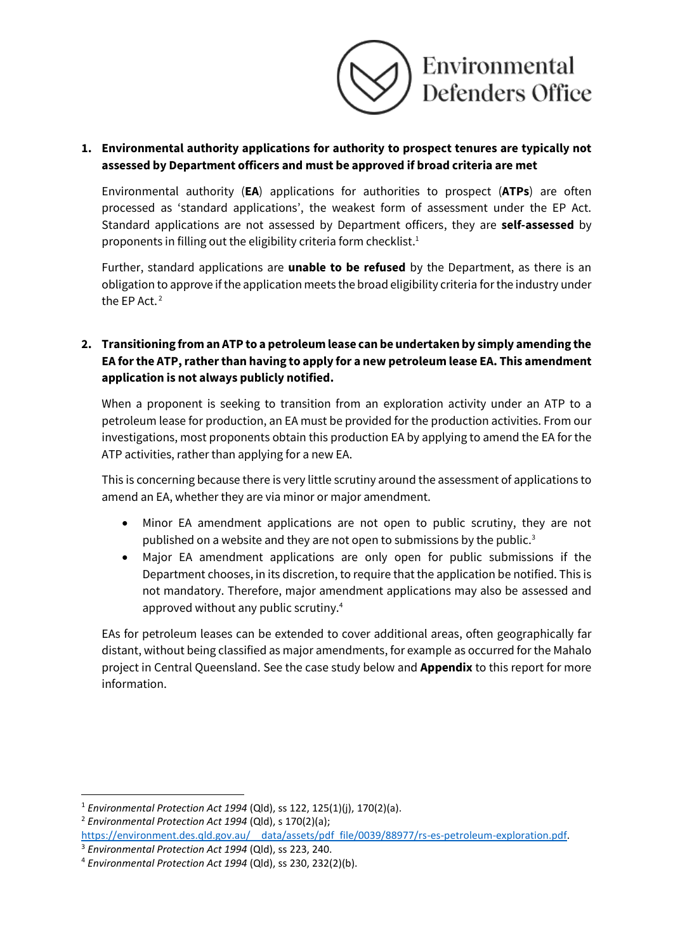

# **1. Environmental authority applications for authority to prospect tenures are typically not assessed by Department officers and must be approved if broad criteria are met**

Environmental authority (**EA**) applications for authorities to prospect (**ATPs**) are often processed as 'standard applications', the weakest form of assessment under the EP Act. Standard applications are not assessed by Department officers, they are **self-assessed** by proponents in filling out the eligibility criteria form checklist.<sup>1</sup>

Further, standard applications are **unable to be refused** by the Department, as there is an obligation to approve if the application meets the broad eligibility criteria for the industry under the EP Act. 2

# **2. Transitioning from an ATP to a petroleum lease can be undertaken by simply amending the EA for the ATP, rather than having to apply for a new petroleum lease EA. This amendment application is not always publicly notified.**

When a proponent is seeking to transition from an exploration activity under an ATP to a petroleum lease for production, an EA must be provided for the production activities. From our investigations, most proponents obtain this production EA by applying to amend the EA for the ATP activities, rather than applying for a new EA.

This is concerning because there is very little scrutiny around the assessment of applications to amend an EA, whether they are via minor or major amendment.

- Minor EA amendment applications are not open to public scrutiny, they are not published on a website and they are not open to submissions by the public.<sup>3</sup>
- Major EA amendment applications are only open for public submissions if the Department chooses, in its discretion, to require that the application be notified. This is not mandatory. Therefore, major amendment applications may also be assessed and approved without any public scrutiny.<sup>4</sup>

EAs for petroleum leases can be extended to cover additional areas, often geographically far distant, without being classified as major amendments, for example as occurred for the Mahalo project in Central Queensland. See the case study below and **Appendix** to this report for more information.

<sup>2</sup> *Environmental Protection Act 1994* (Qld), s 170(2)(a);

<sup>1</sup> *Environmental Protection Act 1994* (Qld), ss 122, 125(1)(j), 170(2)(a).

https://environment.des.qld.gov.au/ data/assets/pdf file/0039/88977/rs-es-petroleum-exploration.pdf. <sup>3</sup> *Environmental Protection Act 1994* (Qld), ss 223, 240.

<sup>4</sup> *Environmental Protection Act 1994* (Qld), ss 230, 232(2)(b).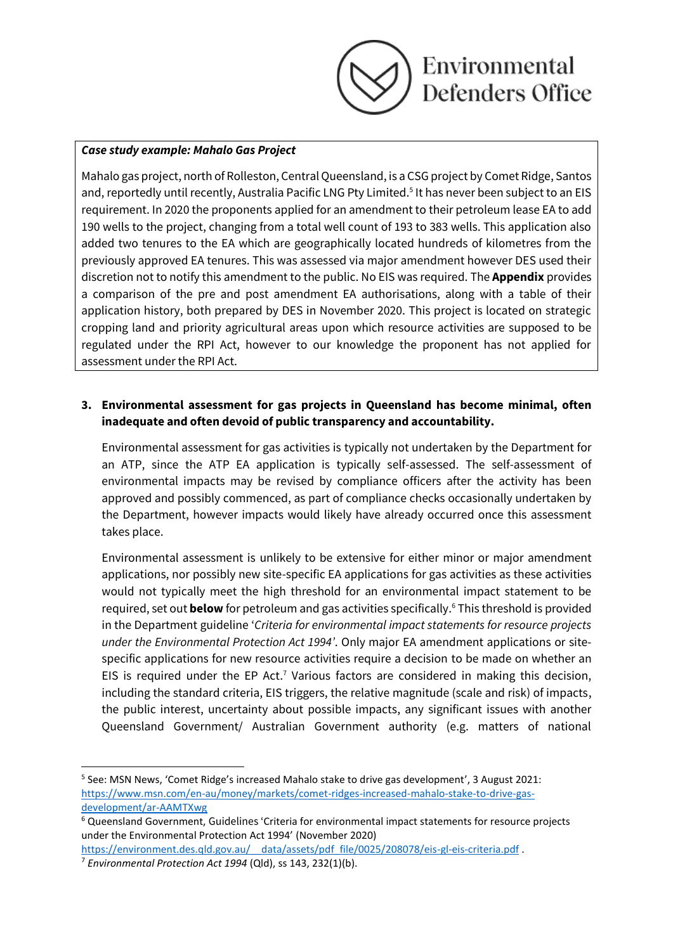

#### *Case study example: Mahalo Gas Project*

Mahalo gas project, north of Rolleston, Central Queensland, is a CSG project by Comet Ridge, Santos and, reportedly until recently, Australia Pacific LNG Pty Limited.<sup>5</sup> It has never been subject to an EIS requirement. In 2020 the proponents applied for an amendment to their petroleum lease EA to add 190 wells to the project, changing from a total well count of 193 to 383 wells. This application also added two tenures to the EA which are geographically located hundreds of kilometres from the previously approved EA tenures. This was assessed via major amendment however DES used their discretion not to notify this amendment to the public. No EIS was required. The **Appendix** provides a comparison of the pre and post amendment EA authorisations, along with a table of their application history, both prepared by DES in November 2020. This project is located on strategic cropping land and priority agricultural areas upon which resource activities are supposed to be regulated under the RPI Act, however to our knowledge the proponent has not applied for assessment under the RPI Act.

## **3. Environmental assessment for gas projects in Queensland has become minimal, often inadequate and often devoid of public transparency and accountability.**

Environmental assessment for gas activities is typically not undertaken by the Department for an ATP, since the ATP EA application is typically self-assessed. The self-assessment of environmental impacts may be revised by compliance officers after the activity has been approved and possibly commenced, as part of compliance checks occasionally undertaken by the Department, however impacts would likely have already occurred once this assessment takes place.

Environmental assessment is unlikely to be extensive for either minor or major amendment applications, nor possibly new site-specific EA applications for gas activities as these activities would not typically meet the high threshold for an environmental impact statement to be required, set out **below** for petroleum and gas activities specifically. <sup>6</sup> This threshold is provided in the Department guideline '*Criteria for environmental impact statements for resource projects under the Environmental Protection Act 1994'*. Only major EA amendment applications or sitespecific applications for new resource activities require a decision to be made on whether an EIS is required under the EP Act.<sup>7</sup> Various factors are considered in making this decision, including the standard criteria, EIS triggers, the relative magnitude (scale and risk) of impacts, the public interest, uncertainty about possible impacts, any significant issues with another Queensland Government/ Australian Government authority (e.g. matters of national

<sup>&</sup>lt;sup>5</sup> See: MSN News, 'Comet Ridge's increased Mahalo stake to drive gas development', 3 August 2021: [https://www.msn.com/en-au/money/markets/comet-ridges-increased-mahalo-stake-to-drive-gas](https://www.msn.com/en-au/money/markets/comet-ridges-increased-mahalo-stake-to-drive-gas-development/ar-AAMTXwg)[development/ar-AAMTXwg](https://www.msn.com/en-au/money/markets/comet-ridges-increased-mahalo-stake-to-drive-gas-development/ar-AAMTXwg)

<sup>6</sup> Queensland Government, Guidelines 'Criteria for environmental impact statements for resource projects under the Environmental Protection Act 1994' (November 2020)

https://environment.des.qld.gov.au/ data/assets/pdf file/0025/208078/eis-gl-eis-criteria.pdf .

<sup>7</sup> *Environmental Protection Act 1994* (Qld), ss 143, 232(1)(b).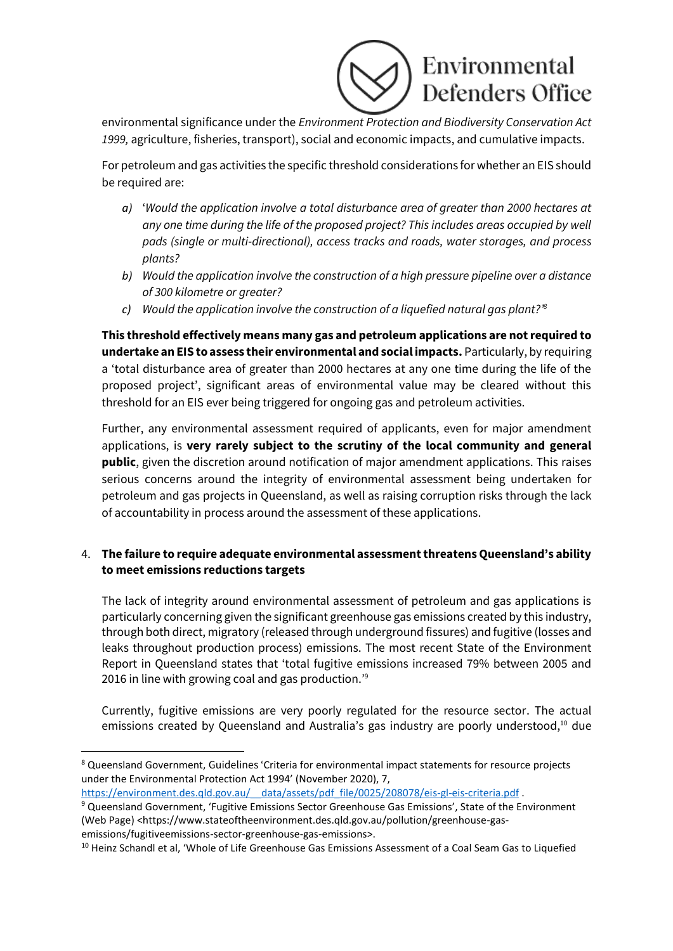

environmental significance under the *Environment Protection and Biodiversity Conservation Act 1999,* agriculture, fisheries, transport), social and economic impacts, and cumulative impacts.

For petroleum and gas activities the specific threshold considerations for whether an EIS should be required are:

- *a)* '*Would the application involve a total disturbance area of greater than 2000 hectares at any one time during the life of the proposed project? This includes areas occupied by well pads (single or multi-directional), access tracks and roads, water storages, and process plants?*
- *b) Would the application involve the construction of a high pressure pipeline over a distance of 300 kilometre or greater?*
- *c) Would the application involve the construction of a liquefied natural gas plant?' 8*

**This threshold effectively means many gas and petroleum applications are not required to undertake an EIS to assess their environmental and social impacts.** Particularly, by requiring a 'total disturbance area of greater than 2000 hectares at any one time during the life of the proposed project', significant areas of environmental value may be cleared without this threshold for an EIS ever being triggered for ongoing gas and petroleum activities.

Further, any environmental assessment required of applicants, even for major amendment applications, is **very rarely subject to the scrutiny of the local community and general public**, given the discretion around notification of major amendment applications. This raises serious concerns around the integrity of environmental assessment being undertaken for petroleum and gas projects in Queensland, as well as raising corruption risks through the lack of accountability in process around the assessment of these applications.

# 4. **The failure to require adequate environmental assessment threatens Queensland's ability to meet emissions reductions targets**

The lack of integrity around environmental assessment of petroleum and gas applications is particularly concerning given the significant greenhouse gas emissions created by this industry, through both direct, migratory (released through underground fissures) and fugitive (losses and leaks throughout production process) emissions. The most recent State of the Environment Report in Queensland states that 'total fugitive emissions increased 79% between 2005 and 2016 in line with growing coal and gas production.'<sup>9</sup>

Currently, fugitive emissions are very poorly regulated for the resource sector. The actual emissions created by Queensland and Australia's gas industry are poorly understood,<sup>10</sup> due

https://environment.des.qld.gov.au/ data/assets/pdf file/0025/208078/eis-gl-eis-criteria.pdf .

<sup>8</sup> Queensland Government, Guidelines 'Criteria for environmental impact statements for resource projects under the Environmental Protection Act 1994' (November 2020), 7,

<sup>9</sup> Queensland Government, 'Fugitive Emissions Sector Greenhouse Gas Emissions', State of the Environment (Web Page) <https://www.stateoftheenvironment.des.qld.gov.au/pollution/greenhouse-gasemissions/fugitiveemissions-sector-greenhouse-gas-emissions>.

<sup>&</sup>lt;sup>10</sup> Heinz Schandl et al, 'Whole of Life Greenhouse Gas Emissions Assessment of a Coal Seam Gas to Liquefied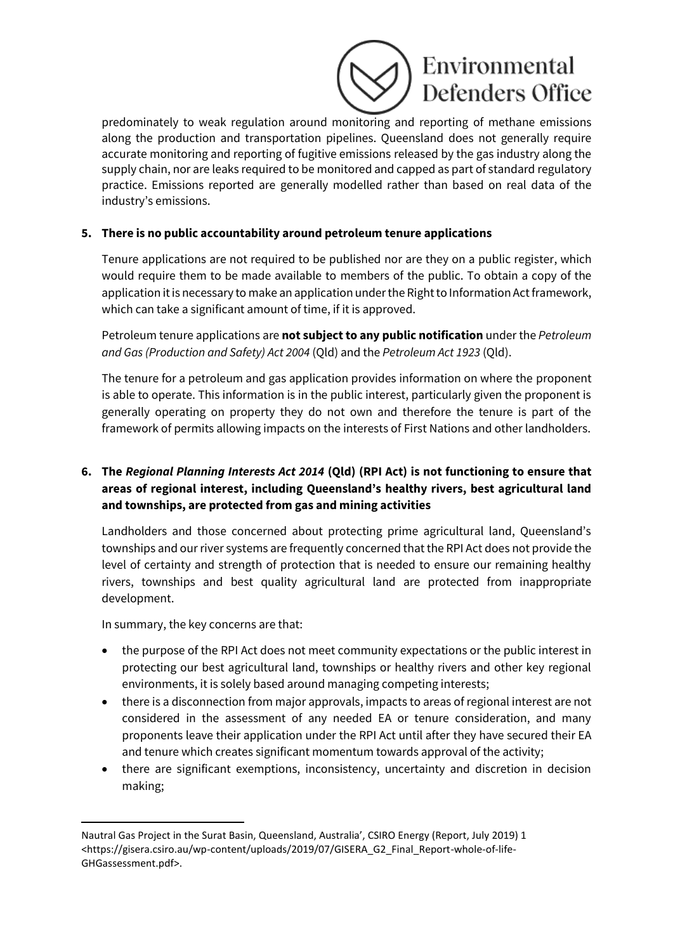# Environmental **Defenders Office**

predominately to weak regulation around monitoring and reporting of methane emissions along the production and transportation pipelines. Queensland does not generally require accurate monitoring and reporting of fugitive emissions released by the gas industry along the supply chain, nor are leaks required to be monitored and capped as part of standard regulatory practice. Emissions reported are generally modelled rather than based on real data of the industry's emissions.

# **5. There is no public accountability around petroleum tenure applications**

Tenure applications are not required to be published nor are they on a public register, which would require them to be made available to members of the public. To obtain a copy of the application it is necessary to make an application under the Right to Information Act framework, which can take a significant amount of time, if it is approved.

Petroleum tenure applications are **not subject to any public notification** under the *Petroleum and Gas (Production and Safety) Act 2004* (Qld) and the *Petroleum Act 1923* (Qld).

The tenure for a petroleum and gas application provides information on where the proponent is able to operate. This information is in the public interest, particularly given the proponent is generally operating on property they do not own and therefore the tenure is part of the framework of permits allowing impacts on the interests of First Nations and other landholders.

# **6. The** *Regional Planning Interests Act 2014* **(Qld) (RPI Act) is not functioning to ensure that areas of regional interest, including Queensland's healthy rivers, best agricultural land and townships, are protected from gas and mining activities**

Landholders and those concerned about protecting prime agricultural land, Queensland's townships and our river systems are frequently concerned that the RPI Act does not provide the level of certainty and strength of protection that is needed to ensure our remaining healthy rivers, townships and best quality agricultural land are protected from inappropriate development.

In summary, the key concerns are that:

- the purpose of the RPI Act does not meet community expectations or the public interest in protecting our best agricultural land, townships or healthy rivers and other key regional environments, it is solely based around managing competing interests;
- there is a disconnection from major approvals, impacts to areas of regional interest are not considered in the assessment of any needed EA or tenure consideration, and many proponents leave their application under the RPI Act until after they have secured their EA and tenure which creates significant momentum towards approval of the activity;
- there are significant exemptions, inconsistency, uncertainty and discretion in decision making;

Nautral Gas Project in the Surat Basin, Queensland, Australia', CSIRO Energy (Report, July 2019) 1 <https://gisera.csiro.au/wp-content/uploads/2019/07/GISERA\_G2\_Final\_Report-whole-of-life-GHGassessment.pdf>.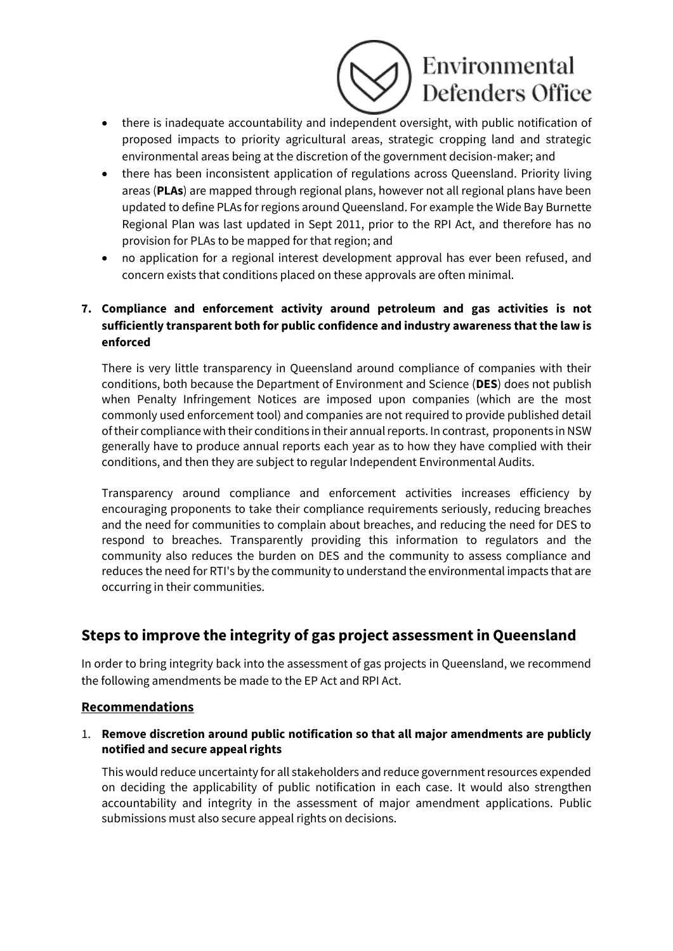

- there is inadequate accountability and independent oversight, with public notification of proposed impacts to priority agricultural areas, strategic cropping land and strategic environmental areas being at the discretion of the government decision-maker; and
- there has been inconsistent application of regulations across Queensland. Priority living areas (**PLAs**) are mapped through regional plans, however not all regional plans have been updated to define PLAs for regions around Queensland. For example the Wide Bay Burnette Regional Plan was last updated in Sept 2011, prior to the RPI Act, and therefore has no provision for PLAs to be mapped for that region; and
- no application for a regional interest development approval has ever been refused, and concern exists that conditions placed on these approvals are often minimal.

# **7. Compliance and enforcement activity around petroleum and gas activities is not sufficiently transparent both for public confidence and industry awareness that the law is enforced**

There is very little transparency in Queensland around compliance of companies with their conditions, both because the Department of Environment and Science (**DES**) does not publish when Penalty Infringement Notices are imposed upon companies (which are the most commonly used enforcement tool) and companies are not required to provide published detail of their compliance with their conditions in their annual reports. In contrast, proponents in NSW generally have to produce annual reports each year as to how they have complied with their conditions, and then they are subject to regular Independent Environmental Audits.

Transparency around compliance and enforcement activities increases efficiency by encouraging proponents to take their compliance requirements seriously, reducing breaches and the need for communities to complain about breaches, and reducing the need for DES to respond to breaches. Transparently providing this information to regulators and the community also reduces the burden on DES and the community to assess compliance and reduces the need for RTI's by the community to understand the environmental impacts that are occurring in their communities.

# **Steps to improve the integrity of gas project assessment in Queensland**

In order to bring integrity back into the assessment of gas projects in Queensland, we recommend the following amendments be made to the EP Act and RPI Act.

# **Recommendations**

#### 1. **Remove discretion around public notification so that all major amendments are publicly notified and secure appeal rights**

This would reduce uncertainty for all stakeholders and reduce government resources expended on deciding the applicability of public notification in each case. It would also strengthen accountability and integrity in the assessment of major amendment applications. Public submissions must also secure appeal rights on decisions.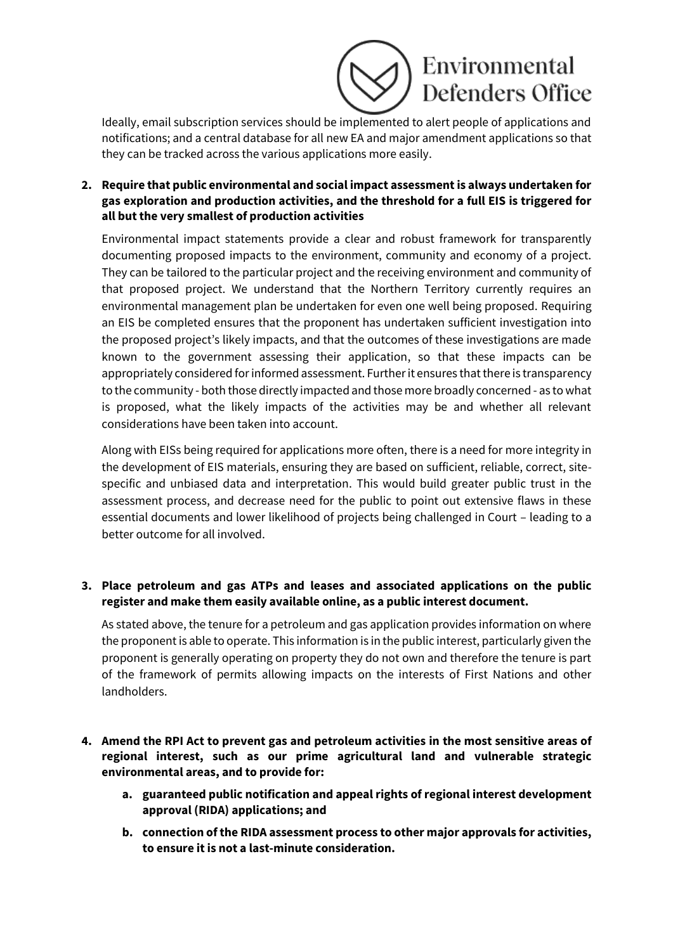

Ideally, email subscription services should be implemented to alert people of applications and notifications; and a central database for all new EA and major amendment applications so that they can be tracked across the various applications more easily.

# **2. Require that public environmental and social impact assessment is always undertaken for gas exploration and production activities, and the threshold for a full EIS is triggered for all but the very smallest of production activities**

Environmental impact statements provide a clear and robust framework for transparently documenting proposed impacts to the environment, community and economy of a project. They can be tailored to the particular project and the receiving environment and community of that proposed project. We understand that the Northern Territory currently requires an environmental management plan be undertaken for even one well being proposed. Requiring an EIS be completed ensures that the proponent has undertaken sufficient investigation into the proposed project's likely impacts, and that the outcomes of these investigations are made known to the government assessing their application, so that these impacts can be appropriately considered for informed assessment. Further it ensures that there is transparency to the community - both those directly impacted and those more broadly concerned - as to what is proposed, what the likely impacts of the activities may be and whether all relevant considerations have been taken into account.

Along with EISs being required for applications more often, there is a need for more integrity in the development of EIS materials, ensuring they are based on sufficient, reliable, correct, sitespecific and unbiased data and interpretation. This would build greater public trust in the assessment process, and decrease need for the public to point out extensive flaws in these essential documents and lower likelihood of projects being challenged in Court – leading to a better outcome for all involved.

#### **3. Place petroleum and gas ATPs and leases and associated applications on the public register and make them easily available online, as a public interest document.**

As stated above, the tenure for a petroleum and gas application provides information on where the proponent is able to operate. This information is in the public interest, particularly given the proponent is generally operating on property they do not own and therefore the tenure is part of the framework of permits allowing impacts on the interests of First Nations and other landholders.

- **4. Amend the RPI Act to prevent gas and petroleum activities in the most sensitive areas of regional interest, such as our prime agricultural land and vulnerable strategic environmental areas, and to provide for:** 
	- **a. guaranteed public notification and appeal rights of regional interest development approval (RIDA) applications; and**
	- **b. connection ofthe RIDA assessment process to other major approvals for activities, to ensure it is not a last-minute consideration.**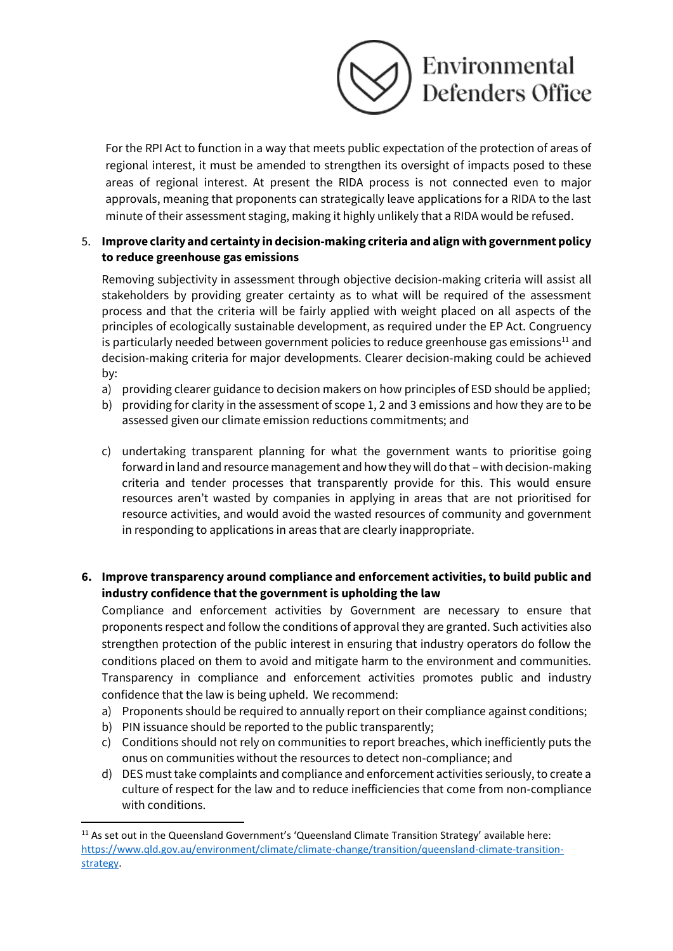

For the RPI Act to function in a way that meets public expectation of the protection of areas of regional interest, it must be amended to strengthen its oversight of impacts posed to these areas of regional interest. At present the RIDA process is not connected even to major approvals, meaning that proponents can strategically leave applications for a RIDA to the last minute of their assessment staging, making it highly unlikely that a RIDA would be refused.

## 5. **Improve clarity and certainty in decision-making criteria and align with government policy to reduce greenhouse gas emissions**

Removing subjectivity in assessment through objective decision-making criteria will assist all stakeholders by providing greater certainty as to what will be required of the assessment process and that the criteria will be fairly applied with weight placed on all aspects of the principles of ecologically sustainable development, as required under the EP Act. Congruency is particularly needed between government policies to reduce greenhouse gas emissions $11$  and decision-making criteria for major developments. Clearer decision-making could be achieved by:

- a) providing clearer guidance to decision makers on how principles of ESD should be applied;
- b) providing for clarity in the assessment of scope 1, 2 and 3 emissions and how they are to be assessed given our climate emission reductions commitments; and
- c) undertaking transparent planning for what the government wants to prioritise going forward in land and resource management and how they will do that – with decision-making criteria and tender processes that transparently provide for this. This would ensure resources aren't wasted by companies in applying in areas that are not prioritised for resource activities, and would avoid the wasted resources of community and government in responding to applications in areas that are clearly inappropriate.

# **6. Improve transparency around compliance and enforcement activities, to build public and industry confidence that the government is upholding the law**

Compliance and enforcement activities by Government are necessary to ensure that proponents respect and follow the conditions of approval they are granted. Such activities also strengthen protection of the public interest in ensuring that industry operators do follow the conditions placed on them to avoid and mitigate harm to the environment and communities. Transparency in compliance and enforcement activities promotes public and industry confidence that the law is being upheld. We recommend:

- a) Proponents should be required to annually report on their compliance against conditions;
- b) PIN issuance should be reported to the public transparently;
- c) Conditions should not rely on communities to report breaches, which inefficiently puts the onus on communities without the resources to detect non-compliance; and
- d) DES must take complaints and compliance and enforcement activities seriously, to create a culture of respect for the law and to reduce inefficiencies that come from non-compliance with conditions.

<sup>&</sup>lt;sup>11</sup> As set out in the Queensland Government's 'Queensland Climate Transition Strategy' available here: [https://www.qld.gov.au/environment/climate/climate-change/transition/queensland-climate-transition](https://www.qld.gov.au/environment/climate/climate-change/transition/queensland-climate-transition-strategy)[strategy.](https://www.qld.gov.au/environment/climate/climate-change/transition/queensland-climate-transition-strategy)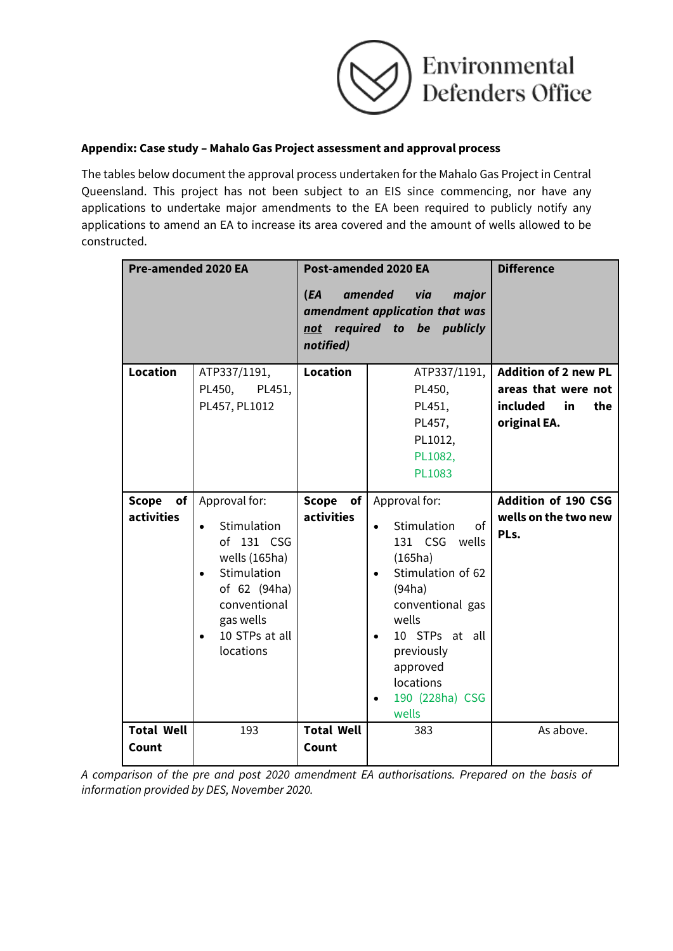

#### **Appendix: Case study – Mahalo Gas Project assessment and approval process**

The tables below document the approval process undertaken for the Mahalo Gas Project in Central Queensland. This project has not been subject to an EIS since commencing, nor have any applications to undertake major amendments to the EA been required to publicly notify any applications to amend an EA to increase its area covered and the amount of wells allowed to be constructed.

| <b>Pre-amended 2020 EA</b>       |                                                                                                                                                                                               | Post-amended 2020 EA<br>(EA<br>amended<br>via<br>major<br>amendment application that was<br>required to be publicly<br>not<br>notified) |                                                                                                                                                                                                                                           | <b>Difference</b>                                                                           |
|----------------------------------|-----------------------------------------------------------------------------------------------------------------------------------------------------------------------------------------------|-----------------------------------------------------------------------------------------------------------------------------------------|-------------------------------------------------------------------------------------------------------------------------------------------------------------------------------------------------------------------------------------------|---------------------------------------------------------------------------------------------|
| <b>Location</b>                  | ATP337/1191,<br>PL450,<br>PL451,<br>PL457, PL1012                                                                                                                                             | <b>Location</b>                                                                                                                         | ATP337/1191,<br>PL450,<br>PL451,<br>PL457,<br>PL1012,<br>PL1082,<br>PL1083                                                                                                                                                                | <b>Addition of 2 new PL</b><br>areas that were not<br>included<br>in<br>the<br>original EA. |
| Scope<br>of<br><b>activities</b> | Approval for:<br>Stimulation<br>$\bullet$<br>of 131 CSG<br>wells (165ha)<br>Stimulation<br>$\bullet$<br>of 62 (94ha)<br>conventional<br>gas wells<br>10 STPs at all<br>$\bullet$<br>locations | Scope of<br><b>activities</b>                                                                                                           | Approval for:<br>Stimulation<br>of<br>$\bullet$<br>131 CSG wells<br>(165ha)<br>Stimulation of 62<br>(94ha)<br>conventional gas<br>wells<br>10 STPs at all<br>$\bullet$<br>previously<br>approved<br>locations<br>190 (228ha) CSG<br>wells | <b>Addition of 190 CSG</b><br>wells on the two new<br>PLs.                                  |
| <b>Total Well</b><br>Count       | 193                                                                                                                                                                                           | <b>Total Well</b><br>Count                                                                                                              | 383                                                                                                                                                                                                                                       | As above.                                                                                   |

*A comparison of the pre and post 2020 amendment EA authorisations. Prepared on the basis of information provided by DES, November 2020.*